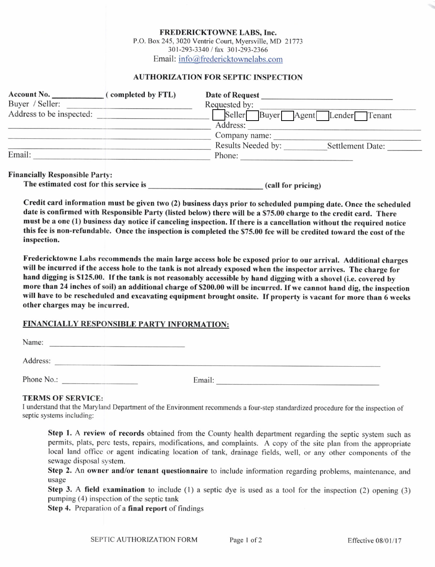FREDERICKTOWNE LABS, Inc.

P.O. Box 245, 3020 Ventrie Court, Myersville, MD 21773 301-293-3340 / fax 301-293-2366 Email: info@fredericktownelabs.com

## **AUTHORIZATION FOR SEPTIC INSPECTION**

| <b>Account No.</b>       | completed by FTL) | Date of Request                     |                  |
|--------------------------|-------------------|-------------------------------------|------------------|
| Buyer / Seller:          |                   | Requested by:                       |                  |
| Address to be inspected: |                   | Seller<br>Buyer Agent Lender Tenant |                  |
|                          |                   | Address:                            |                  |
|                          |                   | Company name:                       |                  |
|                          |                   | Results Needed by:                  | Settlement Date: |
| Email:                   |                   | Phone:                              |                  |
|                          |                   |                                     |                  |

### Financially Responsible Partv:

| The estimated cost for this service is | (call for pricing) |
|----------------------------------------|--------------------|
|----------------------------------------|--------------------|

Credit card information must be given two (2) business days prior to schcduled pumping date. Once the scheduled date is confirmed with Responsible Party (listed below) there will be a \$75.00 charge to the credit card. There must be a one (1) business day notice if canceling inspection. If there is a cancellation without the required notice this fee is non-refundable. Once the inspection is completed the \$75.00 fee will be credited toward the cost of the inspection.

Fredericktowne Labs recommends the main large access hole be exposed prior to our arrival. Additional charges will be incurred if the access hole to the tank is not already exposed when the inspector arrives. The charge for hand digging is \$125.00. If the tank is not reasonably accessible by hand digging with a shovel (i.e. covered by more than 24 inches of soil) an additional charge of \$200.00 will be incurred. If we cannot hand dig, the inspection will have to be rescheduled and excavating equipment brought onsite. If property is vacant for more than 6 weeks other charges may be incurred.

# FINANCIALLY RESPONSIBLE PARTY INFORMATION:

| Name:      |        |  |
|------------|--------|--|
| Address:   |        |  |
| Phone No.: | Email: |  |

## **TERMS OF SERVICE:**

I understand that the Maryland Department of the Environment recommends a four-step standardized procedure for the inspection of septic systems including:

Step 1. A review of records obtained from the County health department regarding the septic system such as permits, plats, perc tests, repairs, modifications, and complaints. A copy of the site plan from the appropriate local land office or agent indicating location of tank, drainage fields, well, or any other components of the sewage disposal system.

Step 2. An owner and/or tenant questionnaire to include information regarding problems, maintenance, and usage

Step 3. A field examination to include (1) a septic dye is used as a tool for the inspection (2) opening (3) pumping  $(4)$  inspection of the septic tank

Step 4. Preparation of a final report of findings